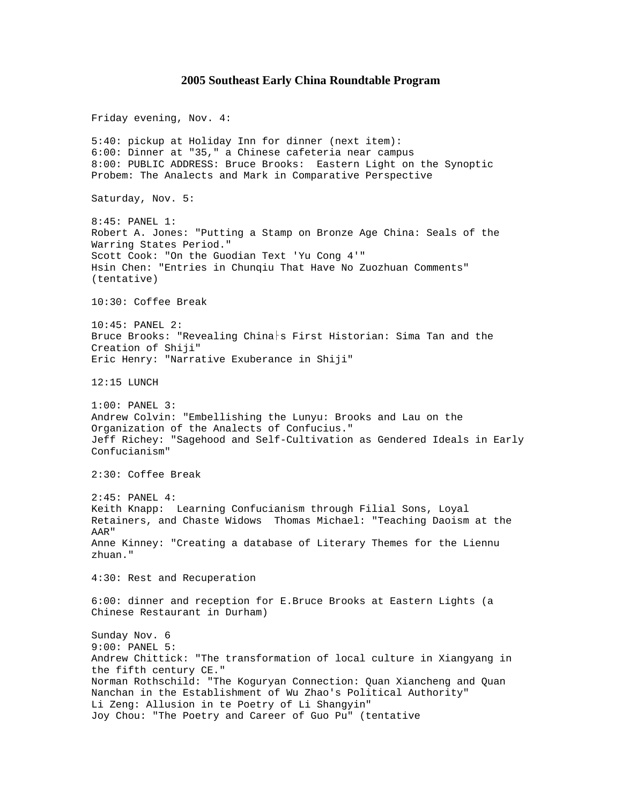## **2005 Southeast Early China Roundtable Program**

Friday evening, Nov. 4: 5:40: pickup at Holiday Inn for dinner (next item): 6:00: Dinner at "35," a Chinese cafeteria near campus 8:00: PUBLIC ADDRESS: Bruce Brooks: Eastern Light on the Synoptic Probem: The Analects and Mark in Comparative Perspective Saturday, Nov. 5: 8:45: PANEL 1: Robert A. Jones: "Putting a Stamp on Bronze Age China: Seals of the Warring States Period." Scott Cook: "On the Guodian Text 'Yu Cong 4'" Hsin Chen: "Entries in Chunqiu That Have No Zuozhuan Comments" (tentative) 10:30: Coffee Break 10:45: PANEL 2: Bruce Brooks: "Revealing China s First Historian: Sima Tan and the Creation of Shiji" Eric Henry: "Narrative Exuberance in Shiji" 12:15 LUNCH 1:00: PANEL 3: Andrew Colvin: "Embellishing the Lunyu: Brooks and Lau on the Organization of the Analects of Confucius." Jeff Richey: "Sagehood and Self-Cultivation as Gendered Ideals in Early Confucianism" 2:30: Coffee Break 2:45: PANEL 4: Keith Knapp: Learning Confucianism through Filial Sons, Loyal Retainers, and Chaste Widows Thomas Michael: "Teaching Daoism at the AAR" Anne Kinney: "Creating a database of Literary Themes for the Liennu zhuan." 4:30: Rest and Recuperation 6:00: dinner and reception for E.Bruce Brooks at Eastern Lights (a Chinese Restaurant in Durham) Sunday Nov. 6 9:00: PANEL 5: Andrew Chittick: "The transformation of local culture in Xiangyang in the fifth century CE." Norman Rothschild: "The Koguryan Connection: Quan Xiancheng and Quan Nanchan in the Establishment of Wu Zhao's Political Authority" Li Zeng: Allusion in te Poetry of Li Shangyin" Joy Chou: "The Poetry and Career of Guo Pu" (tentative